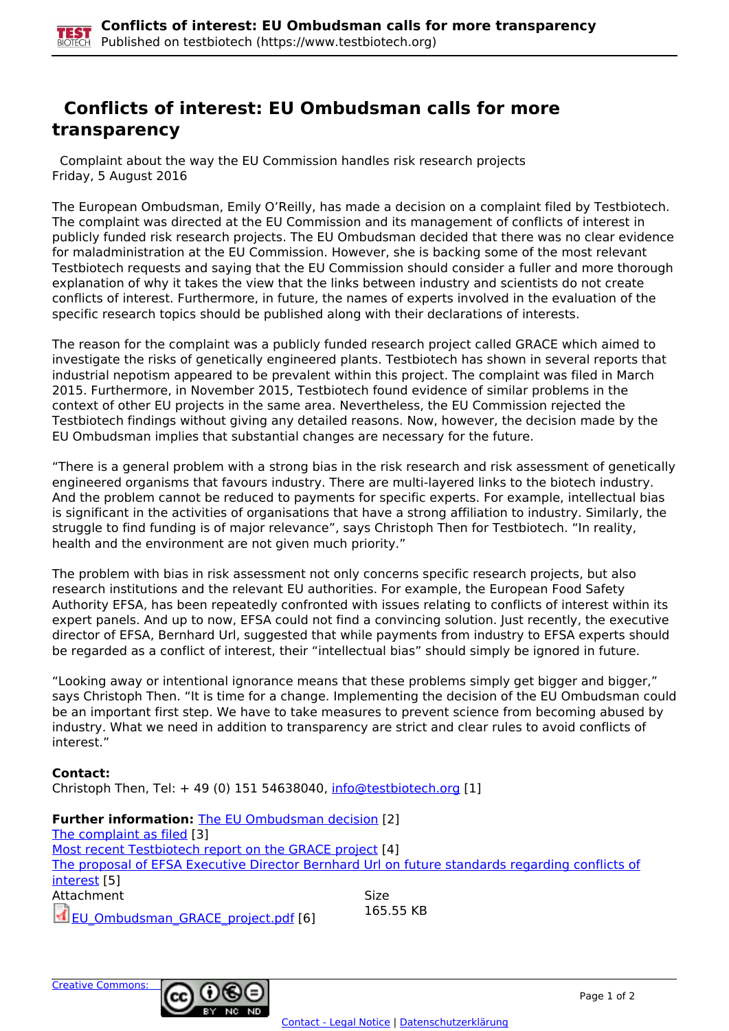## **Conflicts of interest: EU Ombudsman calls for more transparency**

 Complaint about the way the EU Commission handles risk research projects Friday, 5 August 2016

The European Ombudsman, Emily O'Reilly, has made a decision on a complaint filed by Testbiotech. The complaint was directed at the EU Commission and its management of conflicts of interest in publicly funded risk research projects. The EU Ombudsman decided that there was no clear evidence for maladministration at the EU Commission. However, she is backing some of the most relevant Testbiotech requests and saying that the EU Commission should consider a fuller and more thorough explanation of why it takes the view that the links between industry and scientists do not create conflicts of interest. Furthermore, in future, the names of experts involved in the evaluation of the specific research topics should be published along with their declarations of interests.

The reason for the complaint was a publicly funded research project called GRACE which aimed to investigate the risks of genetically engineered plants. Testbiotech has shown in several reports that industrial nepotism appeared to be prevalent within this project. The complaint was filed in March 2015. Furthermore, in November 2015, Testbiotech found evidence of similar problems in the context of other EU projects in the same area. Nevertheless, the EU Commission rejected the Testbiotech findings without giving any detailed reasons. Now, however, the decision made by the EU Ombudsman implies that substantial changes are necessary for the future.

"There is a general problem with a strong bias in the risk research and risk assessment of genetically engineered organisms that favours industry. There are multi-layered links to the biotech industry. And the problem cannot be reduced to payments for specific experts. For example, intellectual bias is significant in the activities of organisations that have a strong affiliation to industry. Similarly, the struggle to find funding is of major relevance", says Christoph Then for Testbiotech. "In reality, health and the environment are not given much priority."

The problem with bias in risk assessment not only concerns specific research projects, but also research institutions and the relevant EU authorities. For example, the European Food Safety Authority EFSA, has been repeatedly confronted with issues relating to conflicts of interest within its expert panels. And up to now, EFSA could not find a convincing solution. Just recently, the executive director of EFSA, Bernhard Url, suggested that while payments from industry to EFSA experts should be regarded as a conflict of interest, their "intellectual bias" should simply be ignored in future.

"Looking away or intentional ignorance means that these problems simply get bigger and bigger," says Christoph Then. "It is time for a change. Implementing the decision of the EU Ombudsman could be an important first step. We have to take measures to prevent science from becoming abused by industry. What we need in addition to transparency are strict and clear rules to avoid conflicts of interest."

## **Contact:**

Christoph Then, Tel:  $+ 49$  (0) 151 54638040, [info@testbiotech.org](mailto:info@testbiotech.org) [1]

| <b>Further information: The EU Ombudsman decision [2]</b>                                       |             |
|-------------------------------------------------------------------------------------------------|-------------|
| The complaint as filed [3]                                                                      |             |
| Most recent Testbiotech report on the GRACE project [4]                                         |             |
| The proposal of EFSA Executive Director Bernhard Url on future standards regarding conflicts of |             |
| interest [5]                                                                                    |             |
| Attachment                                                                                      | <b>Size</b> |
| EU Ombudsman GRACE project.pdf [6]                                                              | 165.55 KB   |